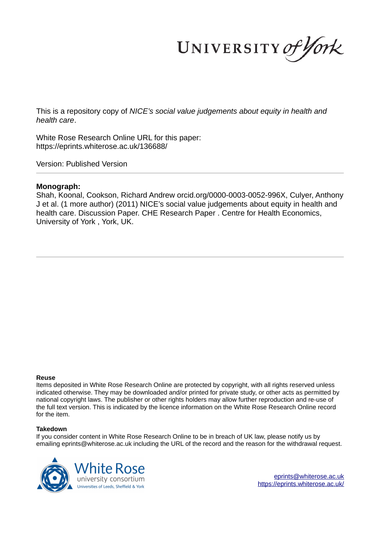UNIVERSITY of York

This is a repository copy of *NICE's social value judgements about equity in health and health care*.

White Rose Research Online URL for this paper: https://eprints.whiterose.ac.uk/136688/

Version: Published Version

#### **Monograph:**

Shah, Koonal, Cookson, Richard Andrew orcid.org/0000-0003-0052-996X, Culyer, Anthony J et al. (1 more author) (2011) NICE's social value judgements about equity in health and health care. Discussion Paper. CHE Research Paper . Centre for Health Economics, University of York , York, UK.

#### **Reuse**

Items deposited in White Rose Research Online are protected by copyright, with all rights reserved unless indicated otherwise. They may be downloaded and/or printed for private study, or other acts as permitted by national copyright laws. The publisher or other rights holders may allow further reproduction and re-use of the full text version. This is indicated by the licence information on the White Rose Research Online record for the item.

#### **Takedown**

If you consider content in White Rose Research Online to be in breach of UK law, please notify us by emailing eprints@whiterose.ac.uk including the URL of the record and the reason for the withdrawal request.



eprints@whiterose.ac.uk https://eprints.whiterose.ac.uk/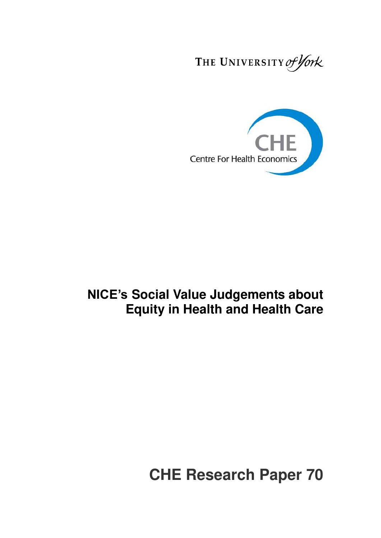THE UNIVERSITY of York



# **NICE's Social Value Judgements about Equity in Health and Health Care**

# **CHE Research Paper 70**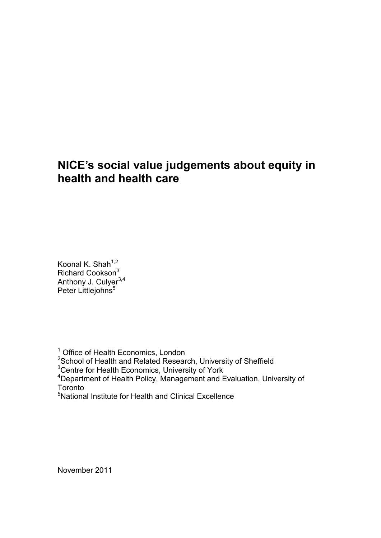# **NICE's social value judgements about equity in health and health care**

Koonal K. Shah<sup>1,2</sup> Richard Cookson<sup>3</sup> Anthony J. Culyer<sup>3,4</sup> Peter Littlejohns<sup>5</sup>

<sup>1</sup> Office of Health Economics, London <sup>2</sup>School of Health and Related Research, University of Sheffield <sup>3</sup>Centre for Health Economics, University of York <sup>4</sup>Department of Health Policy, Management and Evaluation, University of **Toronto** <sup>5</sup>National Institute for Health and Clinical Excellence

November 2011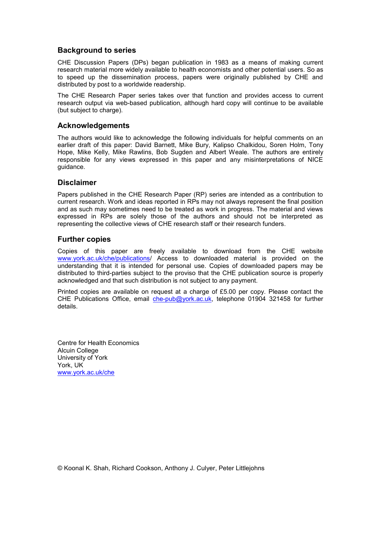# **Background to series**

CHE Discussion Papers (DPs) began publication in 1983 as a means of making current research material more widely available to health economists and other potential users. So as to speed up the dissemination process, papers were originally published by CHE and distributed by post to a worldwide readership.

The CHE Research Paper series takes over that function and provides access to current research output via web-based publication, although hard copy will continue to be available (but subject to charge).

### **Acknowledgements**

The authors would like to acknowledge the following individuals for helpful comments on an earlier draft of this paper: David Barnett, Mike Bury, Kalipso Chalkidou, Soren Holm, Tony Hope, Mike Kelly, Mike Rawlins, Bob Sugden and Albert Weale. The authors are entirely responsible for any views expressed in this paper and any misinterpretations of NICE guidance.

# **Disclaimer**

Papers published in the CHE Research Paper (RP) series are intended as a contribution to current research. Work and ideas reported in RPs may not always represent the final position and as such may sometimes need to be treated as work in progress. The material and views expressed in RPs are solely those of the authors and should not be interpreted as representing the collective views of CHE research staff or their research funders.

# **Further copies**

Copies of this paper are freely available to download from the CHE website [www.york.ac.uk/che/publications/](http://www.york.ac.uk/che/publications) Access to downloaded material is provided on the understanding that it is intended for personal use. Copies of downloaded papers may be distributed to third-parties subject to the proviso that the CHE publication source is properly acknowledged and that such distribution is not subject to any payment.

Printed copies are available on request at a charge of £5.00 per copy. Please contact the CHE Publications Office, email [che-pub@york.ac.uk,](mailto:che-pub@york.ac.uk) telephone 01904 321458 for further details.

Centre for Health Economics Alcuin College University of York York, UK [www.york.ac.uk/che](http://www.york.ac.uk/che)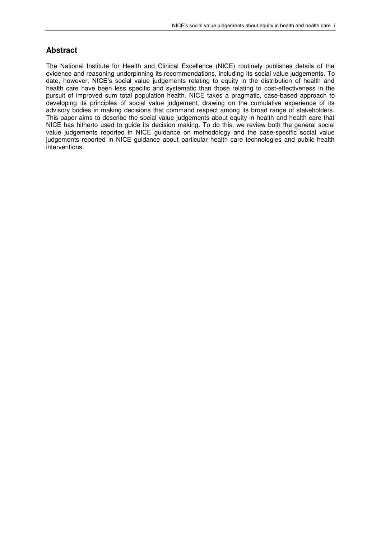# **Abstract**

The National Institute for Health and Clinical Excellence (NICE) routinely publishes details of the evidence and reasoning underpinning its recommendations, including its social value judgements. To date, however, NICE's social value judgements relating to equity in the distribution of health and health care have been less specific and systematic than those relating to cost-effectiveness in the pursuit of improved sum total population health. NICE takes a pragmatic, case-based approach to developing its principles of social value judgement, drawing on the cumulative experience of its advisory bodies in making decisions that command respect among its broad range of stakeholders. This paper aims to describe the social value judgements about equity in health and health care that NICE has hitherto used to guide its decision making. To do this, we review both the general social value judgements reported in NICE guidance on methodology and the case-specific social value judgements reported in NICE guidance about particular health care technologies and public health interventions.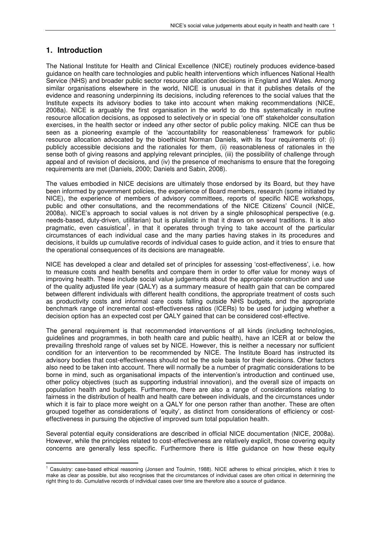# **1. Introduction**

 $\overline{a}$ 

The National Institute for Health and Clinical Excellence (NICE) routinely produces evidence-based guidance on health care technologies and public health interventions which influences National Health Service (NHS) and broader public sector resource allocation decisions in England and Wales. Among similar organisations elsewhere in the world, NICE is unusual in that it publishes details of the evidence and reasoning underpinning its decisions, including references to the social values that the Institute expects its advisory bodies to take into account when making recommendations (NICE, 2008a). NICE is arguably the first organisation in the world to do this systematically in routine resource allocation decisions, as opposed to selectively or in special "one off" stakeholder consultation exercises, in the health sector or indeed any other sector of public policy making. NICE can thus be seen as a pioneering example of the 'accountability for reasonableness' framework for public resource allocation advocated by the bioethicist Norman Daniels, with its four requirements of: (i) publicly accessible decisions and the rationales for them, (ii) reasonableness of rationales in the sense both of giving reasons and applying relevant principles, (iii) the possibility of challenge through appeal and of revision of decisions, and (iv) the presence of mechanisms to ensure that the foregoing requirements are met (Daniels, 2000; Daniels and Sabin, 2008).

The values embodied in NICE decisions are ultimately those endorsed by its Board, but they have been informed by government policies, the experience of Board members, research (some initiated by NICE), the experience of members of advisory committees, reports of specific NICE workshops, public and other consultations, and the recommendations of the NICE Citizens" Council (NICE, 2008a). NICE"s approach to social values is not driven by a single philosophical perspective (e.g. needs-based, duty-driven, utilitarian) but is pluralistic in that it draws on several traditions. It is also pragmatic, even casuistical<sup>1</sup>, in that it operates through trying to take account of the particular circumstances of each individual case and the many parties having stakes in its procedures and decisions, it builds up cumulative records of individual cases to guide action, and it tries to ensure that the operational consequences of its decisions are manageable.

NICE has developed a clear and detailed set of principles for assessing 'cost-effectiveness', i.e. how to measure costs and health benefits and compare them in order to offer value for money ways of improving health. These include social value judgements about the appropriate construction and use of the quality adjusted life year (QALY) as a summary measure of health gain that can be compared between different individuals with different health conditions, the appropriate treatment of costs such as productivity costs and informal care costs falling outside NHS budgets, and the appropriate benchmark range of incremental cost-effectiveness ratios (ICERs) to be used for judging whether a decision option has an expected cost per QALY gained that can be considered cost-effective.

The general requirement is that recommended interventions of all kinds (including technologies, guidelines and programmes, in both health care and public health), have an ICER at or below the prevailing threshold range of values set by NICE. However, this is neither a necessary nor sufficient condition for an intervention to be recommended by NICE. The Institute Board has instructed its advisory bodies that cost-effectiveness should not be the sole basis for their decisions. Other factors also need to be taken into account. There will normally be a number of pragmatic considerations to be borne in mind, such as organisational impacts of the intervention"s introduction and continued use, other policy objectives (such as supporting industrial innovation), and the overall size of impacts on population health and budgets. Furthermore, there are also a range of considerations relating to fairness in the distribution of health and health care between individuals, and the circumstances under which it is fair to place more weight on a QALY for one person rather than another. These are often grouped together as considerations of "equity", as distinct from considerations of efficiency or costeffectiveness in pursuing the objective of improved sum total population health.

Several potential equity considerations are described in official NICE documentation (NICE, 2008a). However, while the principles related to cost-effectiveness are relatively explicit, those covering equity concerns are generally less specific. Furthermore there is little guidance on how these equity

<sup>1</sup> Casuistry: case-based ethical reasoning (Jonsen and Toulmin, 1988). NICE adheres to ethical principles, which it tries to make as clear as possible, but also recognises that the circumstances of individual cases are often critical in determining the right thing to do. Cumulative records of individual cases over time are therefore also a source of guidance.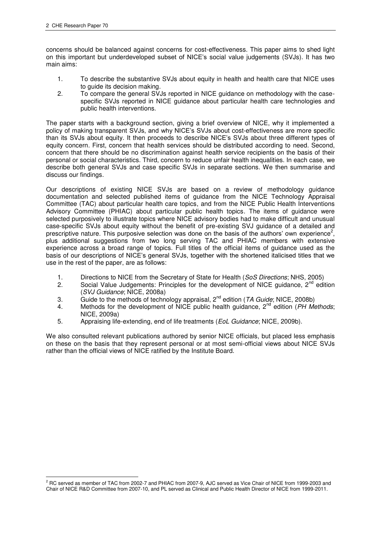$\overline{a}$ 

concerns should be balanced against concerns for cost-effectiveness. This paper aims to shed light on this important but underdeveloped subset of NICE"s social value judgements (SVJs). It has two main aims:

- 1. To describe the substantive SVJs about equity in health and health care that NICE uses to guide its decision making.
- 2. To compare the general SVJs reported in NICE guidance on methodology with the casespecific SVJs reported in NICE guidance about particular health care technologies and public health interventions.

The paper starts with a background section, giving a brief overview of NICE, why it implemented a policy of making transparent SVJs, and why NICE"s SVJs about cost-effectiveness are more specific than its SVJs about equity. It then proceeds to describe NICE"s SVJs about three different types of equity concern. First, concern that health services should be distributed according to need. Second, concern that there should be no discrimination against health service recipients on the basis of their personal or social characteristics. Third, concern to reduce unfair health inequalities. In each case, we describe both general SVJs and case specific SVJs in separate sections. We then summarise and discuss our findings.

Our descriptions of existing NICE SVJs are based on a review of methodology guidance documentation and selected published items of guidance from the NICE Technology Appraisal Committee (TAC) about particular health care topics, and from the NICE Public Health Interventions Advisory Committee (PHIAC) about particular public health topics. The items of guidance were selected purposively to illustrate topics where NICE advisory bodies had to make difficult and unusual case-specific SVJs about equity without the benefit of pre-existing SVJ guidance of a detailed and prescriptive nature. This purposive selection was done on the basis of the authors' own experience<sup>2</sup>, plus additional suggestions from two long serving TAC and PHIAC members with extensive experience across a broad range of topics. Full titles of the official items of guidance used as the basis of our descriptions of NICE"s general SVJs, together with the shortened italicised titles that we use in the rest of the paper, are as follows:

- 1. Directions to NICE from the Secretary of State for Health (*SoS Directions*; NHS, 2005)
- 2. Social Value Judgements: Principles for the development of NICE guidance,  $2^{nd}$  edition (*SVJ Guidance*; NICE, 2008a)
- 3. Guide to the methods of technology appraisal, 2nd edition (*TA Guide*; NICE, 2008b)
- 4. Methods for the development of NICE public health guidance, 2nd edition (*PH Methods*; NICE, 2009a)
- 5. Appraising life-extending, end of life treatments (*EoL Guidance*; NICE, 2009b).

We also consulted relevant publications authored by senior NICE officials, but placed less emphasis on these on the basis that they represent personal or at most semi-official views about NICE SVJs rather than the official views of NICE ratified by the Institute Board.

 $^2$  RC served as member of TAC from 2002-7 and PHIAC from 2007-9, AJC served as Vice Chair of NICE from 1999-2003 and Chair of NICE R&D Committee from 2007-10, and PL served as Clinical and Public Health Director of NICE from 1999-2011.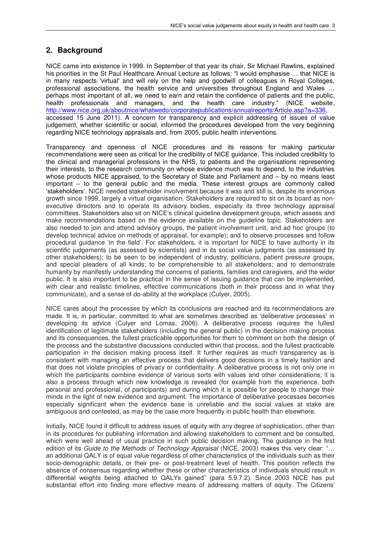# **2. Background**

NICE came into existence in 1999. In September of that year its chair, Sir Michael Rawlins, explained his priorities in the St Paul Healthcare Annual Lecture as follows: "I would emphasise … that NICE is in many respects 'virtual' and will rely on the help and goodwill of colleagues in Royal Colleges, professional associations, the health service and universities throughout England and Wales ... perhaps most important of all, we need to earn and retain the confidence of patients and the public, health professionals and managers, and the health care industry." (NICE website, health professionals and managers, and the health care industry." [http://www.nice.org.uk/aboutnice/whatwedo/corporatepublications/annualreports/Article.asp?a=336,](http://www.nice.org.uk/aboutnice/whatwedo/corporatepublications/annualreports/Article.asp?a=336) accessed 15 June 2011). A concern for transparency and explicit addressing of issues of value judgement, whether scientific or social, informed the procedures developed from the very beginning regarding NICE technology appraisals and, from 2005, public health interventions.

Transparency and openness of NICE procedures and its reasons for making particular recommendations were seen as critical for the credibility of NICE guidance. This included credibility to the clinical and managerial professions in the NHS, to patients and the organisations representing their interests, to the research community on whose evidence much was to depend, to the industries whose products NICE appraised, to the Secretary of State and Parliament and – by no means least important – to the general public and the media. These interest groups are commonly called "stakeholders". NICE needed stakeholder involvement because it was and still is, despite its enormous growth since 1999, largely a virtual organisation. Stakeholders are required to sit on its board as nonexecutive directors and to operate its advisory bodies, especially its three technology appraisal committees. Stakeholders also sit on NICE"s clinical guideline development groups, which assess and make recommendations based on the evidence available on the guideline topic. Stakeholders are also needed to join and attend advisory groups, the patient involvement unit, and ad hoc groups (to develop technical advice on methods of appraisal, for example); and to observe processes and follow procedural guidance "in the field". For stakeholders, it is important for NICE to have authority in its scientific judgements (as assessed by scientists) and in its social value judgments (as assessed by other stakeholders); to be seen to be independent of industry, politicians, patient pressure groups, and special pleaders of all kinds; to be comprehensible to all stakeholders; and to demonstrate humanity by manifestly understanding the concerns of patients, families and caregivers, and the wider public. It is also important to be practical in the sense of issuing guidance that can be implemented, with clear and realistic timelines, effective communications (both in their process and in what they communicate), and a sense of do-ability at the workplace (Culyer, 2005).

NICE cares about the processes by which its conclusions are reached and its recommendations are made. It is, in particular, committed to what are sometimes described as "deliberative processes" in developing its advice (Culyer and Lomas, 2006). A deliberative process requires the fullest identification of legitimate stakeholders (including the general public) in the decision making process and its consequences, the fullest practicable opportunities for them to comment on both the design of the process and the substantive discussions conducted within that process, and the fullest practicable participation in the decision making process itself. It further requires as much transparency as is consistent with managing an effective process that delivers good decisions in a timely fashion and that does not violate principles of privacy or confidentiality. A deliberative process is not only one in which the participants combine evidence of various sorts with values and other considerations; it is also a process through which new knowledge is revealed (for example from the experience, both personal and professional, of participants) and during which it is possible for people to change their minds in the light of new evidence and argument. The importance of deliberative processes becomes especially significant when the evidence base is unreliable and the social values at stake are ambiguous and contested, as may be the case more frequently in public health than elsewhere.

Initially, NICE found it difficult to address issues of equity with any degree of sophistication, other than in its procedures for publishing information and allowing stakeholders to comment and be consulted, which were well ahead of usual practice in such public decision making. The guidance in the first edition of its *Guide to the Methods of Technology Appraisal* (NICE, 2003) makes this very clear: "… an additional QALY is of equal value regardless of other characteristics of the individuals such as their socio-demographic details, or their pre- or post-treatment level of health. This position reflects the absence of consensus regarding whether these or other characteristics of individuals should result in differential weights being attached to QALYs gained" (para 5.9.7.2). Since 2003 NICE has put substantial effort into finding more effective means of addressing matters of equity. The Citizens"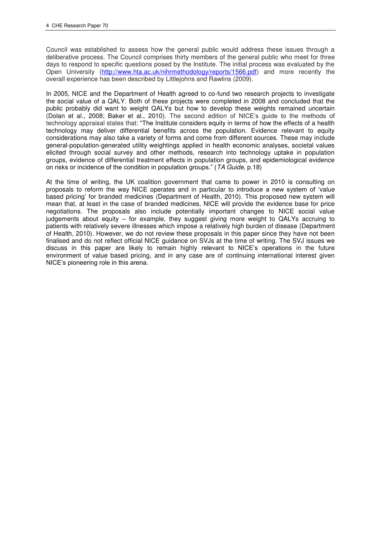Council was established to assess how the general public would address these issues through a deliberative process. The Council comprises thirty members of the general public who meet for three days to respond to specific questions posed by the Institute. The initial process was evaluated by the Open University [\(http://www.hta.ac.uk/nihrmethodology/reports/1566.pdf\)](http://www.hta.ac.uk/nihrmethodology/reports/1566.pdf) and more recently the overall experience has been described by Littlejohns and Rawlins (2009).

In 2005, NICE and the Department of Health agreed to co-fund two research projects to investigate the social value of a QALY. Both of these projects were completed in 2008 and concluded that the public probably did want to weight QALYs but how to develop these weights remained uncertain (Dolan et al., 2008; Baker et al., 2010). The second edition of NICE"s guide to the methods of technology appraisal states that: "The Institute considers equity in terms of how the effects of a health technology may deliver differential benefits across the population. Evidence relevant to equity considerations may also take a variety of forms and come from different sources. These may include general-population-generated utility weightings applied in health economic analyses, societal values elicited through social survey and other methods, research into technology uptake in population groups, evidence of differential treatment effects in population groups, and epidemiological evidence on risks or incidence of the condition in population groups." (*TA Guide*, p.18)

At the time of writing, the UK coalition government that came to power in 2010 is consulting on proposals to reform the way NICE operates and in particular to introduce a new system of "value based pricing" for branded medicines (Department of Health, 2010). This proposed new system will mean that, at least in the case of branded medicines, NICE will provide the evidence base for price negotiations. The proposals also include potentially important changes to NICE social value judgements about equity – for example, they suggest giving more weight to QALYs accruing to patients with relatively severe illnesses which impose a relatively high burden of disease (Department of Health, 2010). However, we do not review these proposals in this paper since they have not been finalised and do not reflect official NICE guidance on SVJs at the time of writing. The SVJ issues we discuss in this paper are likely to remain highly relevant to NICE"s operations in the future environment of value based pricing, and in any case are of continuing international interest given NICE"s pioneering role in this arena.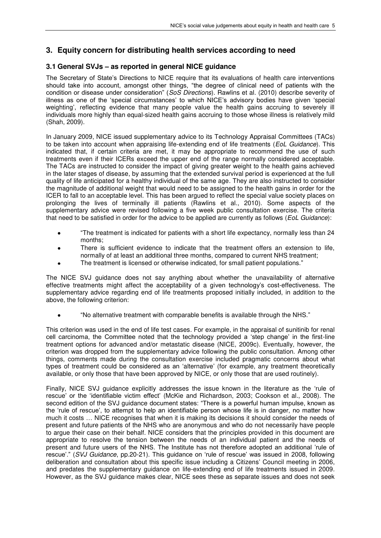# **3. Equity concern for distributing health services according to need**

### **3.1 General SVJs – as reported in general NICE guidance**

The Secretary of State"s Directions to NICE require that its evaluations of health care interventions should take into account, amongst other things, "the degree of clinical need of patients with the condition or disease under consideration" (*SoS Directions*). Rawlins et al. (2010) describe severity of illness as one of the "special circumstances" to which NICE"s advisory bodies have given "special weighting', reflecting evidence that many people value the health gains accruing to severely ill individuals more highly than equal-sized health gains accruing to those whose illness is relatively mild (Shah, 2009).

In January 2009, NICE issued supplementary advice to its Technology Appraisal Committees (TACs) to be taken into account when appraising life-extending end of life treatments (*EoL Guidance*). This indicated that, if certain criteria are met, it may be appropriate to recommend the use of such treatments even if their ICERs exceed the upper end of the range normally considered acceptable. The TACs are instructed to consider the impact of giving greater weight to the health gains achieved in the later stages of disease, by assuming that the extended survival period is experienced at the full quality of life anticipated for a healthy individual of the same age. They are also instructed to consider the magnitude of additional weight that would need to be assigned to the health gains in order for the ICER to fall to an acceptable level. This has been argued to reflect the special value society places on prolonging the lives of terminally ill patients (Rawlins et al., 2010). Some aspects of the supplementary advice were revised following a five week public consultation exercise. The criteria that need to be satisfied in order for the advice to be applied are currently as follows (*EoL Guidance*):

- "The treatment is indicated for patients with a short life expectancy, normally less than 24 months;
- There is sufficient evidence to indicate that the treatment offers an extension to life, normally of at least an additional three months, compared to current NHS treatment;
- The treatment is licensed or otherwise indicated, for small patient populations."

The NICE SVJ guidance does not say anything about whether the unavailability of alternative effective treatments might affect the acceptability of a given technology"s cost-effectiveness. The supplementary advice regarding end of life treatments proposed initially included, in addition to the above, the following criterion:

"No alternative treatment with comparable benefits is available through the NHS."

This criterion was used in the end of life test cases. For example, in the appraisal of sunitinib for renal cell carcinoma, the Committee noted that the technology provided a "step change" in the first-line treatment options for advanced and/or metastatic disease (NICE, 2009c). Eventually, however, the criterion was dropped from the supplementary advice following the public consultation. Among other things, comments made during the consultation exercise included pragmatic concerns about what types of treatment could be considered as an "alternative" (for example, any treatment theoretically available, or only those that have been approved by NICE, or only those that are used routinely).

Finally, NICE SVJ guidance explicitly addresses the issue known in the literature as the "rule of rescue" or the "identifiable victim effect" (McKie and Richardson, 2003; Cookson et al., 2008). The second edition of the SVJ guidance document states: "There is a powerful human impulse, known as the "rule of rescue", to attempt to help an identifiable person whose life is in danger, no matter how much it costs ... NICE recognises that when it is making its decisions it should consider the needs of present and future patients of the NHS who are anonymous and who do not necessarily have people to argue their case on their behalf. NICE considers that the principles provided in this document are appropriate to resolve the tension between the needs of an individual patient and the needs of present and future users of the NHS. The Institute has not therefore adopted an additional "rule of rescue"." (*SVJ Guidance*, pp.20-21). This guidance on "rule of rescue" was issued in 2008, following deliberation and consultation about this specific issue including a Citizens" Council meeting in 2006, and predates the supplementary guidance on life-extending end of life treatments issued in 2009. However, as the SVJ guidance makes clear, NICE sees these as separate issues and does not seek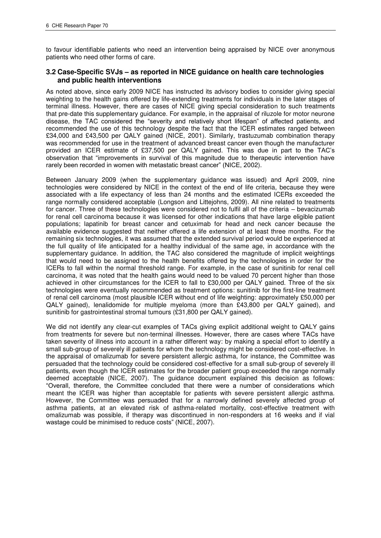to favour identifiable patients who need an intervention being appraised by NICE over anonymous patients who need other forms of care.

### **3.2 Case-Specific SVJs – as reported in NICE guidance on health care technologies and public health interventions**

As noted above, since early 2009 NICE has instructed its advisory bodies to consider giving special weighting to the health gains offered by life-extending treatments for individuals in the later stages of terminal illness. However, there are cases of NICE giving special consideration to such treatments that pre-date this supplementary guidance. For example, in the appraisal of riluzole for motor neurone disease, the TAC considered the "severity and relatively short lifespan" of affected patients, and recommended the use of this technology despite the fact that the ICER estimates ranged between £34,000 and £43,500 per QALY gained (NICE, 2001). Similarly, trastuzumab combination therapy was recommended for use in the treatment of advanced breast cancer even though the manufacturer provided an ICER estimate of £37,500 per QALY gained. This was due in part to the TAC"s observation that "improvements in survival of this magnitude due to therapeutic intervention have rarely been recorded in women with metastatic breast cancer" (NICE, 2002).

Between January 2009 (when the supplementary guidance was issued) and April 2009, nine technologies were considered by NICE in the context of the end of life criteria, because they were associated with a life expectancy of less than 24 months and the estimated ICERs exceeded the range normally considered acceptable (Longson and Littejohns, 2009). All nine related to treatments for cancer. Three of these technologies were considered not to fulfil all of the criteria – bevacizumab for renal cell carcinoma because it was licensed for other indications that have large eligible patient populations; lapatinib for breast cancer and cetuximab for head and neck cancer because the available evidence suggested that neither offered a life extension of at least three months. For the remaining six technologies, it was assumed that the extended survival period would be experienced at the full quality of life anticipated for a healthy individual of the same age, in accordance with the supplementary guidance. In addition, the TAC also considered the magnitude of implicit weightings that would need to be assigned to the health benefits offered by the technologies in order for the ICERs to fall within the normal threshold range. For example, in the case of sunitinib for renal cell carcinoma, it was noted that the health gains would need to be valued 70 percent higher than those achieved in other circumstances for the ICER to fall to £30,000 per QALY gained. Three of the six technologies were eventually recommended as treatment options: sunitinib for the first-line treatment of renal cell carcinoma (most plausible ICER without end of life weighting: approximately £50,000 per QALY gained), lenalidomide for multiple myeloma (more than £43,800 per QALY gained), and sunitinib for gastrointestinal stromal tumours (£31,800 per QALY gained).

We did not identify any clear-cut examples of TACs giving explicit additional weight to QALY gains from treatments for severe but non-terminal illnesses. However, there are cases where TACs have taken severity of illness into account in a rather different way: by making a special effort to identify a small sub-group of severely ill patients for whom the technology might be considered cost-effective. In the appraisal of omalizumab for severe persistent allergic asthma, for instance, the Committee was persuaded that the technology could be considered cost-effective for a small sub-group of severely ill patients, even though the ICER estimates for the broader patient group exceeded the range normally deemed acceptable (NICE, 2007). The guidance document explained this decision as follows: "Overall, therefore, the Committee concluded that there were a number of considerations which meant the ICER was higher than acceptable for patients with severe persistent allergic asthma. However, the Committee was persuaded that for a narrowly defined severely affected group of asthma patients, at an elevated risk of asthma-related mortality, cost-effective treatment with omalizumab was possible, if therapy was discontinued in non-responders at 16 weeks and if vial wastage could be minimised to reduce costs" (NICE, 2007).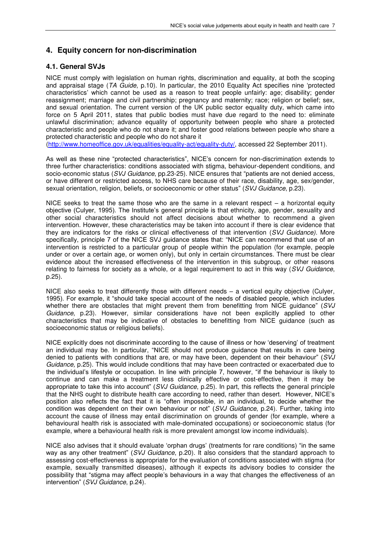# **4. Equity concern for non-discrimination**

# **4.1. General SVJs**

NICE must comply with legislation on human rights, discrimination and equality, at both the scoping and appraisal stage (*TA Guide*, p.10). In particular, the 2010 Equality Act specifies nine "protected characteristics" which cannot be used as a reason to treat people unfairly: age; disability; gender reassignment; marriage and civil partnership; pregnancy and maternity; race; religion or belief; sex, and sexual orientation. The current version of the UK public sector equality duty, which came into force on 5 April 2011, states that public bodies must have due regard to the need to: eliminate unlawful discrimination; advance equality of opportunity between people who share a protected characteristic and people who do not share it; and foster good relations between people who share a protected characteristic and people who do not share it

[\(http://www.homeoffice.gov.uk/equalities/equality-act/equality-duty/,](http://www.homeoffice.gov.uk/equalities/equality-act/equality-duty/) accessed 22 September 2011).

As well as these nine "protected characteristics", NICE's concern for non-discrimination extends to three further characteristics: conditions associated with stigma, behaviour-dependent conditions, and socio-economic status (*SVJ Guidance*, pp.23-25). NICE ensures that "patients are not denied access, or have different or restricted access, to NHS care because of their race, disability, age, sex/gender, sexual orientation, religion, beliefs, or socioeconomic or other status" (*SVJ Guidance*, p.23).

NICE seeks to treat the same those who are the same in a relevant respect  $-$  a horizontal equity objective (Culyer, 1995). The Institute"s general principle is that ethnicity, age, gender, sexuality and other social characteristics should not affect decisions about whether to recommend a given intervention. However, these characteristics may be taken into account if there is clear evidence that they are indicators for the risks or clinical effectiveness of that intervention (*SVJ Guidance)*. More specifically, principle 7 of the NICE SVJ guidance states that: "NICE can recommend that use of an intervention is restricted to a particular group of people within the population (for example, people under or over a certain age, or women only), but only in certain circumstances. There must be clear evidence about the increased effectiveness of the intervention in this subgroup, or other reasons relating to fairness for society as a whole, or a legal requirement to act in this way (*SVJ Guidance*, p.25).

NICE also seeks to treat differently those with different needs – a vertical equity objective (Culyer, 1995). For example, it "should take special account of the needs of disabled people, which includes whether there are obstacles that might prevent them from benefitting from NICE guidance" (*SVJ Guidance*, p.23). However, similar considerations have not been explicitly applied to other characteristics that may be indicative of obstacles to benefitting from NICE guidance (such as socioeconomic status or religious beliefs).

NICE explicitly does not discriminate according to the cause of illness or how "deserving" of treatment an individual may be. In particular, "NICE should not produce guidance that results in care being denied to patients with conditions that are, or may have been, dependent on their behaviour" (*SVJ Guidance,* p.25). This would include conditions that may have been contracted or exacerbated due to the individual"s lifestyle or occupation. In line with principle 7, however, "if the behaviour is likely to continue and can make a treatment less clinically effective or cost-effective, then it may be appropriate to take this into account" (*SVJ Guidance*, p.25). In part, this reflects the general principle that the NHS ought to distribute health care according to need, rather than desert. However, NICE"s position also reflects the fact that it is "often impossible, in an individual, to decide whether the condition was dependent on their own behaviour or not" (*SVJ Guidance*, p.24). Further, taking into account the cause of illness may entail discrimination on grounds of gender (for example, where a behavioural health risk is associated with male-dominated occupations) or socioeconomic status (for example, where a behavioural health risk is more prevalent amongst low income individuals).

NICE also advises that it should evaluate "orphan drugs" (treatments for rare conditions) "in the same way as any other treatment" (*SVJ Guidance*, p.20). It also considers that the standard approach to assessing cost-effectiveness is appropriate for the evaluation of conditions associated with stigma (for example, sexually transmitted diseases), although it expects its advisory bodies to consider the possibility that "stigma may affect people"s behaviours in a way that changes the effectiveness of an intervention" (*SVJ Guidance*, p.24).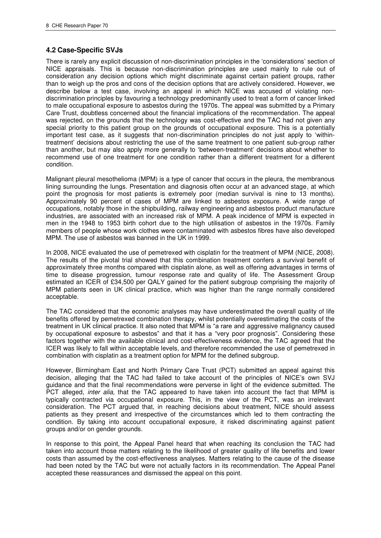# **4.2 Case-Specific SVJs**

There is rarely any explicit discussion of non-discrimination principles in the "considerations" section of NICE appraisals. This is because non-discrimination principles are used mainly to rule out of consideration any decision options which might discriminate against certain patient groups, rather than to weigh up the pros and cons of the decision options that are actively considered. However, we describe below a test case, involving an appeal in which NICE was accused of violating nondiscrimination principles by favouring a technology predominantly used to treat a form of cancer linked to male occupational exposure to asbestos during the 1970s. The appeal was submitted by a Primary Care Trust, doubtless concerned about the financial implications of the recommendation. The appeal was rejected, on the grounds that the technology was cost-effective and the TAC had not given any special priority to this patient group on the grounds of occupational exposure. This is a potentially important test case, as it suggests that non-discrimination principles do not just apply to "withintreatment" decisions about restricting the use of the same treatment to one patient sub-group rather than another, but may also apply more generally to "between-treatment" decisions about whether to recommend use of one treatment for one condition rather than a different treatment for a different condition.

Malignant pleural mesothelioma (MPM) is a type of cancer that occurs in the pleura, the membranous lining surrounding the lungs. Presentation and diagnosis often occur at an advanced stage, at which point the prognosis for most patients is extremely poor (median survival is nine to 13 months). Approximately 90 percent of cases of MPM are linked to asbestos exposure. A wide range of occupations, notably those in the shipbuilding, railway engineering and asbestos product manufacture industries, are associated with an increased risk of MPM. A peak incidence of MPM is expected in men in the 1948 to 1953 birth cohort due to the high utilisation of asbestos in the 1970s. Family members of people whose work clothes were contaminated with asbestos fibres have also developed MPM. The use of asbestos was banned in the UK in 1999.

In 2008, NICE evaluated the use of pemetrexed with cisplatin for the treatment of MPM (NICE, 2008). The results of the pivotal trial showed that this combination treatment confers a survival benefit of approximately three months compared with cisplatin alone, as well as offering advantages in terms of time to disease progression, tumour response rate and quality of life. The Assessment Group estimated an ICER of £34,500 per QALY gained for the patient subgroup comprising the majority of MPM patients seen in UK clinical practice, which was higher than the range normally considered acceptable.

The TAC considered that the economic analyses may have underestimated the overall quality of life benefits offered by pemetrexed combination therapy, whilst potentially overestimating the costs of the treatment in UK clinical practice. It also noted that MPM is "a rare and aggressive malignancy caused by occupational exposure to asbestos" and that it has a "very poor prognosis". Considering these factors together with the available clinical and cost-effectiveness evidence, the TAC agreed that the ICER was likely to fall within acceptable levels, and therefore recommended the use of pemetrexed in combination with cisplatin as a treatment option for MPM for the defined subgroup.

However, Birmingham East and North Primary Care Trust (PCT) submitted an appeal against this decision, alleging that the TAC had failed to take account of the principles of NICE"s own SVJ guidance and that the final recommendations were perverse in light of the evidence submitted. The PCT alleged, *inter alia*, that the TAC appeared to have taken into account the fact that MPM is typically contracted via occupational exposure. This, in the view of the PCT, was an irrelevant consideration. The PCT argued that, in reaching decisions about treatment, NICE should assess patients as they present and irrespective of the circumstances which led to them contracting the condition. By taking into account occupational exposure, it risked discriminating against patient groups and/or on gender grounds.

In response to this point, the Appeal Panel heard that when reaching its conclusion the TAC had taken into account those matters relating to the likelihood of greater quality of life benefits and lower costs than assumed by the cost-effectiveness analyses. Matters relating to the cause of the disease had been noted by the TAC but were not actually factors in its recommendation. The Appeal Panel accepted these reassurances and dismissed the appeal on this point.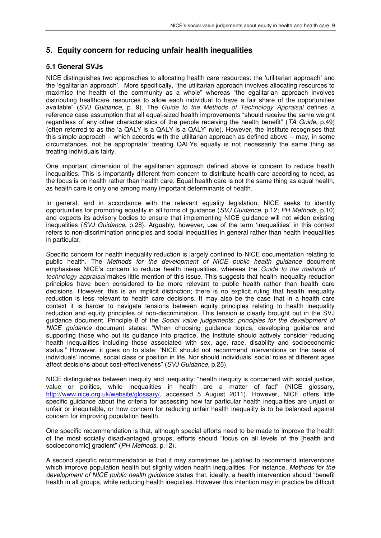# **5. Equity concern for reducing unfair health inequalities**

# **5.1 General SVJs**

NICE distinguishes two approaches to allocating health care resources: the "utilitarian approach" and the "egalitarian approach". More specifically, "the utilitarian approach involves allocating resources to maximise the health of the community as a whole" whereas "the egalitarian approach involves distributing healthcare resources to allow each individual to have a fair share of the opportunities available" (*SVJ Guidance*, p. 9). The *Guide to the Methods of Technology Appraisal* defines a reference case assumption that all equal-sized health improvements "should receive the same weight regardless of any other characteristics of the people receiving the health benefit" (*TA Guide*, p.49) (often referred to as the "a QALY is a QALY is a QALY" rule). However, the Institute recognises that this simple approach – which accords with the utilitarian approach as defined above – may, in some circumstances, not be appropriate: treating QALYs equally is not necessarily the same thing as treating individuals fairly.

One important dimension of the egalitarian approach defined above is concern to reduce health inequalities. This is importantly different from concern to distribute health care according to need, as the focus is on health rather than health care. Equal health care is not the same thing as equal health, as health care is only one among many important determinants of health.

In general, and in accordance with the relevant equality legislation, NICE seeks to identify opportunities for promoting equality in all forms of guidance (*SVJ Guidance*, p.12; *PH Methods*, p.10) and expects its advisory bodies to ensure that implementing NICE guidance will not widen existing inequalities (*SVJ Guidance*, p.28). Arguably, however, use of the term "inequalities" in this context refers to non-discrimination principles and social inequalities in general rather than health inequalities in particular.

Specific concern for health inequality reduction is largely confined to NICE documentation relating to public health. The *Methods for the development of NICE public health guidance* document emphasises NICE"s concern to reduce health inequalities, whereas the *Guide to the methods of technology appraisal* makes little mention of this issue. This suggests that health inequality reduction principles have been considered to be more relevant to public health rather than health care decisions. However, this is an implicit distinction; there is no explicit ruling that health inequality reduction is less relevant to health care decisions. It may also be the case that in a health care context it is harder to navigate tensions between equity principles relating to health inequality reduction and equity principles of non-discrimination. This tension is clearly brought out in the SVJ guidance document. Principle 8 of the *Social value judgements: principles for the development of NICE guidance* document states: "When choosing guidance topics, developing guidance and supporting those who put its guidance into practice, the Institute should actively consider reducing health inequalities including those associated with sex, age, race, disability and socioeconomic status." However, it goes on to state: "NICE should not recommend interventions on the basis of individuals" income, social class or position in life. Nor should individuals" social roles at different ages affect decisions about cost-effectiveness" (*SVJ Guidance*, p.25).

NICE distinguishes between inequity and inequality: "health inequity is concerned with social justice, value or politics, while inequalities in health are a matter of fact" (NICE glossary, [http://www.nice.org.uk/website/glossary/,](http://www.nice.org.uk/website/glossary/) accessed 5 August 2011). However, NICE offers little specific guidance about the criteria for assessing how far particular health inequalities are unjust or unfair or inequitable, or how concern for reducing unfair health inequality is to be balanced against concern for improving population health.

One specific recommendation is that, although special efforts need to be made to improve the health of the most socially disadvantaged groups, efforts should "focus on all levels of the [health and socioeconomic] gradient" (*PH Methods*, p.12).

A second specific recommendation is that it may sometimes be justified to recommend interventions which improve population health but slightly widen health inequalities. For instance, *Methods for the development of NICE public health guidance* states that, ideally, a health intervention should "benefit health in all groups, while reducing health inequities. However this intention may in practice be difficult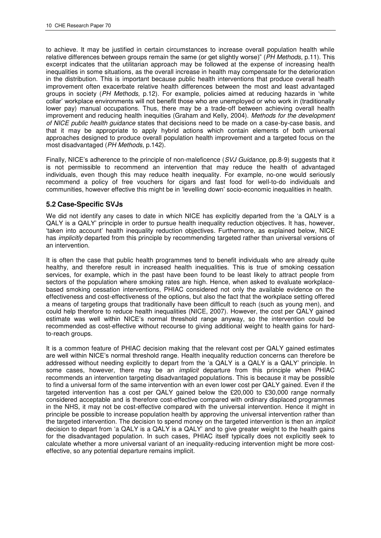to achieve. It may be justified in certain circumstances to increase overall population health while relative differences between groups remain the same (or get slightly worse)" (*PH Methods*, p.11). This excerpt indicates that the utilitarian approach may be followed at the expense of increasing health inequalities in some situations, as the overall increase in health may compensate for the deterioration in the distribution. This is important because public health interventions that produce overall health improvement often exacerbate relative health differences between the most and least advantaged groups in society (*PH Methods*, p.12). For example, policies aimed at reducing hazards in "white collar" workplace environments will not benefit those who are unemployed or who work in (traditionally lower pay) manual occupations. Thus, there may be a trade-off between achieving overall health improvement and reducing health inequities (Graham and Kelly, 2004). *Methods for the development of NICE public health guidance* states that decisions need to be made on a case-by-case basis, and that it may be appropriate to apply hybrid actions which contain elements of both universal approaches designed to produce overall population health improvement and a targeted focus on the most disadvantaged (*PH Methods*, p.142).

Finally, NICE"s adherence to the principle of non-maleficence (*SVJ Guidance*, pp.8-9) suggests that it is not permissible to recommend an intervention that may reduce the health of advantaged individuals, even though this may reduce health inequality. For example, no-one would seriously recommend a policy of free vouchers for cigars and fast food for well-to-do individuals and communities, however effective this might be in "levelling down" socio-economic inequalities in health.

### **5.2 Case-Specific SVJs**

We did not identify any cases to date in which NICE has explicitly departed from the 'a QALY is a QALY is a QALY" principle in order to pursue health inequality reduction objectives. It has, however, "taken into account" health inequality reduction objectives. Furthermore, as explained below, NICE has *implicitly* departed from this principle by recommending targeted rather than universal versions of an intervention.

It is often the case that public health programmes tend to benefit individuals who are already quite healthy, and therefore result in increased health inequalities. This is true of smoking cessation services, for example, which in the past have been found to be least likely to attract people from sectors of the population where smoking rates are high. Hence, when asked to evaluate workplacebased smoking cessation interventions, PHIAC considered not only the available evidence on the effectiveness and cost-effectiveness of the options, but also the fact that the workplace setting offered a means of targeting groups that traditionally have been difficult to reach (such as young men), and could help therefore to reduce health inequalities (NICE, 2007). However, the cost per QALY gained estimate was well within NICE"s normal threshold range anyway, so the intervention could be recommended as cost-effective without recourse to giving additional weight to health gains for hardto-reach groups.

It is a common feature of PHIAC decision making that the relevant cost per QALY gained estimates are well within NICE"s normal threshold range. Health inequality reduction concerns can therefore be addressed without needing explicitly to depart from the "a QALY is a QALY is a QALY" principle. In some cases, however, there may be an *implicit* departure from this principle when PHIAC recommends an intervention targeting disadvantaged populations. This is because it may be possible to find a universal form of the same intervention with an even lower cost per QALY gained. Even if the targeted intervention has a cost per QALY gained below the £20,000 to £30,000 range normally considered acceptable and is therefore cost-effective compared with ordinary displaced programmes in the NHS, it may not be cost-effective compared with the universal intervention. Hence it might in principle be possible to increase population health by approving the universal intervention rather than the targeted intervention. The decision to spend money on the targeted intervention is then an *implicit*  decision to depart from "a QALY is a QALY is a QALY" and to give greater weight to the health gains for the disadvantaged population. In such cases, PHIAC itself typically does not explicitly seek to calculate whether a more universal variant of an inequality-reducing intervention might be more costeffective, so any potential departure remains implicit.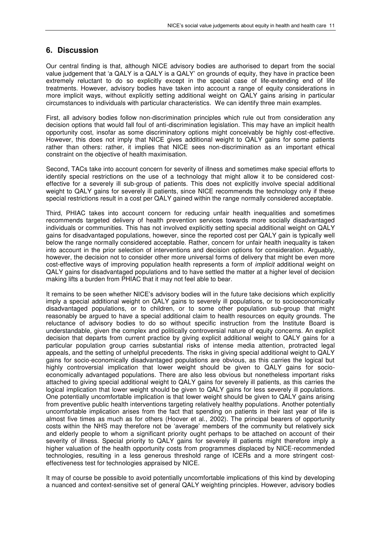# **6. Discussion**

Our central finding is that, although NICE advisory bodies are authorised to depart from the social value judgement that 'a QALY is a QALY is a QALY' on grounds of equity, they have in practice been extremely reluctant to do so explicitly except in the special case of life-extending end of life treatments. However, advisory bodies have taken into account a range of equity considerations in more implicit ways, without explicitly setting additional weight on QALY gains arising in particular circumstances to individuals with particular characteristics. We can identify three main examples.

First, all advisory bodies follow non-discrimination principles which rule out from consideration any decision options that would fall foul of anti-discrimination legislation. This may have an implicit health opportunity cost, insofar as some discriminatory options might conceivably be highly cost-effective. However, this does not imply that NICE gives additional weight to QALY gains for some patients rather than others: rather, it implies that NICE sees non-discrimination as an important ethical constraint on the objective of health maximisation.

Second, TACs take into account concern for severity of illness and sometimes make special efforts to identify special restrictions on the use of a technology that might allow it to be considered costeffective for a severely ill sub-group of patients. This does not explicitly involve special additional weight to QALY gains for severely ill patients, since NICE recommends the technology only if these special restrictions result in a cost per QALY gained within the range normally considered acceptable.

Third, PHIAC takes into account concern for reducing unfair health inequalities and sometimes recommends targeted delivery of health prevention services towards more socially disadvantaged individuals or communities. This has not involved explicitly setting special additional weight on QALY gains for disadvantaged populations, however, since the reported cost per QALY gain is typically well below the range normally considered acceptable. Rather, concern for unfair health inequality is taken into account in the prior selection of interventions and decision options for consideration. Arguably, however, the decision not to consider other more universal forms of delivery that might be even more cost-effective ways of improving population health represents a form of *implicit* additional weight on QALY gains for disadvantaged populations and to have settled the matter at a higher level of decision making lifts a burden from PHIAC that it may not feel able to bear.

It remains to be seen whether NICE"s advisory bodies will in the future take decisions which explicitly imply a special additional weight on QALY gains to severely ill populations, or to socioeconomically disadvantaged populations, or to children, or to some other population sub-group that might reasonably be argued to have a special additional claim to health resources on equity grounds. The reluctance of advisory bodies to do so without specific instruction from the Institute Board is understandable, given the complex and politically controversial nature of equity concerns. An explicit decision that departs from current practice by giving explicit additional weight to QALY gains for a particular population group carries substantial risks of intense media attention, protracted legal appeals, and the setting of unhelpful precedents. The risks in giving special additional weight to QALY gains for socio-economically disadvantaged populations are obvious, as this carries the logical but highly controversial implication that lower weight should be given to QALY gains for socioeconomically advantaged populations. There are also less obvious but nonetheless important risks attached to giving special additional weight to QALY gains for severely ill patients, as this carries the logical implication that lower weight should be given to QALY gains for less severely ill populations. One potentially uncomfortable implication is that lower weight should be given to QALY gains arising from preventive public health interventions targeting relatively healthy populations. Another potentially uncomfortable implication arises from the fact that spending on patients in their last year of life is almost five times as much as for others (Hoover et al., 2002). The principal bearers of opportunity costs within the NHS may therefore not be "average" members of the community but relatively sick and elderly people to whom a significant priority ought perhaps to be attached on account of their severity of illness. Special priority to QALY gains for severely ill patients might therefore imply a higher valuation of the health opportunity costs from programmes displaced by NICE-recommended technologies, resulting in a less generous threshold range of ICERs and a more stringent costeffectiveness test for technologies appraised by NICE.

It may of course be possible to avoid potentially uncomfortable implications of this kind by developing a nuanced and context-sensitive set of general QALY weighting principles. However, advisory bodies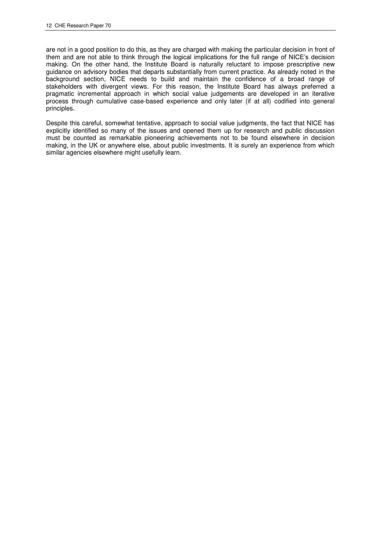are not in a good position to do this, as they are charged with making the particular decision in front of them and are not able to think through the logical implications for the full range of NICE"s decision making. On the other hand, the Institute Board is naturally reluctant to impose prescriptive new guidance on advisory bodies that departs substantially from current practice. As already noted in the background section, NICE needs to build and maintain the confidence of a broad range of stakeholders with divergent views. For this reason, the Institute Board has always preferred a pragmatic incremental approach in which social value judgements are developed in an iterative process through cumulative case-based experience and only later (if at all) codified into general principles.

Despite this careful, somewhat tentative, approach to social value judgments, the fact that NICE has explicitly identified so many of the issues and opened them up for research and public discussion must be counted as remarkable pioneering achievements not to be found elsewhere in decision making, in the UK or anywhere else, about public investments. It is surely an experience from which similar agencies elsewhere might usefully learn.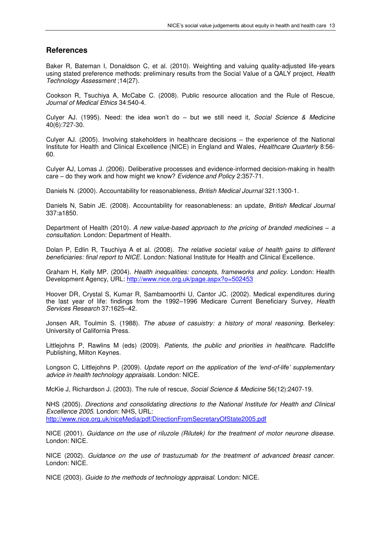### **References**

Baker R, Bateman I, Donaldson C, et al. (2010). Weighting and valuing quality-adjusted life-years using stated preference methods: preliminary results from the Social Value of a QALY project, *Health Technology Assessment* ;14(27).

Cookson R, Tsuchiya A, McCabe C. (2008). Public resource allocation and the Rule of Rescue, *Journal of Medical Ethics* 34:540-4.

Culyer AJ. (1995). Need: the idea won"t do – but we still need it, *Social Science & Medicine* 40(6):727-30.

Culyer AJ. (2005). Involving stakeholders in healthcare decisions – the experience of the National Institute for Health and Clinical Excellence (NICE) in England and Wales, *Healthcare Quarterly* 8:56- 60.

Culyer AJ, Lomas J. (2006). Deliberative processes and evidence-informed decision-making in health care – do they work and how might we know? *Evidence and Policy* 2:357-71.

Daniels N. (2000). Accountability for reasonableness, *British Medical Journal* 321:1300-1.

Daniels N, Sabin JE. (2008). Accountability for reasonableness: an update, *British Medical Journal* 337:a1850.

Department of Health (2010). *A new value-based approach to the pricing of branded medicines – a consultation*. London: Department of Health.

Dolan P, Edlin R, Tsuchiya A et al. (2008). *The relative societal value of health gains to different beneficiaries: final report to NICE*. London: National Institute for Health and Clinical Excellence.

Graham H, Kelly MP. (2004). *Health inequalities: concepts, frameworks and policy*. London: Health Development Agency, URL:<http://www.nice.org.uk/page.aspx?o=502453>

Hoover DR, Crystal S, Kumar R, Sambamoorthi U, Cantor JC. (2002). Medical expenditures during the last year of life: findings from the 1992–1996 Medicare Current Beneficiary Survey, *Health Services Research* 37:1625–42.

Jonsen AR, Toulmin S. (1988). *The abuse of casuistry: a history of moral reasoning*. Berkeley: University of California Press.

Littlejohns P, Rawlins M (eds) (2009). *Patients, the public and priorities in healthcare*. Radcliffe Publishing, Milton Keynes.

Longson C, Littlejohns P. (2009). *Update report on the application of the 'end-of-life' supplementary advice in health technology appraisals*. London: NICE.

McKie J, Richardson J. (2003). The rule of rescue, *Social Science & Medicine* 56(12):2407-19.

NHS (2005). *Directions and consolidating directions to the National Institute for Health and Clinical Excellence 2005*. London: NHS, URL: <http://www.nice.org.uk/niceMedia/pdf/DirectionFromSecretaryOfState2005.pdf>

NICE (2001). *Guidance on the use of riluzole (Rilutek) for the treatment of motor neurone disease*. London: NICE.

NICE (2002). *Guidance on the use of trastuzumab for the treatment of advanced breast cancer*. London: NICE.

NICE (2003). *Guide to the methods of technology appraisal*. London: NICE.